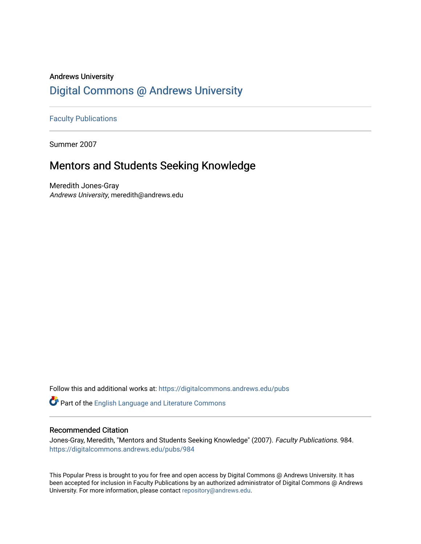# Andrews University [Digital Commons @ Andrews University](https://digitalcommons.andrews.edu/)

[Faculty Publications](https://digitalcommons.andrews.edu/pubs)

Summer 2007

# Mentors and Students Seeking Knowledge

Meredith Jones-Gray Andrews University, meredith@andrews.edu

Follow this and additional works at: [https://digitalcommons.andrews.edu/pubs](https://digitalcommons.andrews.edu/pubs?utm_source=digitalcommons.andrews.edu%2Fpubs%2F984&utm_medium=PDF&utm_campaign=PDFCoverPages) 

Part of the [English Language and Literature Commons](http://network.bepress.com/hgg/discipline/455?utm_source=digitalcommons.andrews.edu%2Fpubs%2F984&utm_medium=PDF&utm_campaign=PDFCoverPages)

## Recommended Citation

Jones-Gray, Meredith, "Mentors and Students Seeking Knowledge" (2007). Faculty Publications. 984. [https://digitalcommons.andrews.edu/pubs/984](https://digitalcommons.andrews.edu/pubs/984?utm_source=digitalcommons.andrews.edu%2Fpubs%2F984&utm_medium=PDF&utm_campaign=PDFCoverPages) 

This Popular Press is brought to you for free and open access by Digital Commons @ Andrews University. It has been accepted for inclusion in Faculty Publications by an authorized administrator of Digital Commons @ Andrews University. For more information, please contact [repository@andrews.edu](mailto:repository@andrews.edu).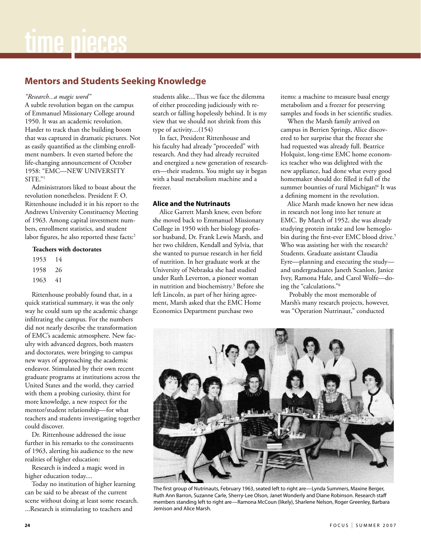# **Mentors and Students Seeking Knowledge**

#### *"Research...a magic word"*

A subtle revolution began on the campus of Emmanuel Missionary College around 1950. It was an academic revolution. Harder to track than the building boom that was captured in dramatic pictures. Not as easily quantified as the climbing enrollment numbers. It even started before the life-changing announcement of October 1958: "EMC—NEW UNIVERSITY SITE."1

Administrators liked to boast about the revolution nonetheless. President F. O. Rittenhouse included it in his report to the Andrews University Constituency Meeting of 1963. Among capital investment numbers, enrollment statistics, and student labor figures, he also reported these facts:<sup>2</sup>

#### **Teachers with doctorates**

1953 14 1958 26 1963 41

Rittenhouse probably found that, in a quick statistical summary, it was the only way he could sum up the academic change infiltrating the campus. For the numbers did not nearly describe the transformation of EMC's academic atmosphere. New faculty with advanced degrees, both masters and doctorates, were bringing to campus new ways of approaching the academic endeavor. Stimulated by their own recent graduate programs at institutions across the United States and the world, they carried with them a probing curiosity, thirst for more knowledge, a new respect for the mentor/student relationship—for what teachers and students investigating together could discover.

Dr. Rittenhouse addressed the issue further in his remarks to the constituents of 1963, alerting his audience to the new realities of higher education:

Research is indeed a magic word in higher education today....

Today no institution of higher learning can be said to be abreast of the current scene without doing at least some research.

...Research is stimulating to teachers and

students alike....Thus we face the dilemma of either proceeding judiciously with research or falling hopelessly behind. It is my view that we should not shrink from this type of activity....(154)

In fact, President Rittenhouse and his faculty had already "proceeded" with research. And they had already recruited and energized a new generation of researchers—their students. You might say it began with a basal metabolism machine and a freezer.

### **Alice and the Nutrinauts**

Alice Garrett Marsh knew, even before she moved back to Emmanuel Missionary College in 1950 with her biology professor husband, Dr. Frank Lewis Marsh, and her two children, Kendall and Sylvia, that she wanted to pursue research in her field of nutrition. In her graduate work at the University of Nebraska she had studied under Ruth Leverton, a pioneer woman in nutrition and biochemistry.3 Before she left Lincoln, as part of her hiring agreement, Marsh asked that the EMC Home Economics Department purchase two

items: a machine to measure basal energy metabolism and a freezer for preserving samples and foods in her scientific studies.

When the Marsh family arrived on campus in Berrien Springs, Alice discovered to her surprise that the freezer she had requested was already full. Beatrice Holquist, long-time EMC home economics teacher who was delighted with the new appliance, had done what every good homemaker should do: filled it full of the summer bounties of rural Michigan!<sup>4</sup> It was a defining moment in the revolution.

Alice Marsh made known her new ideas in research not long into her tenure at EMC. By March of 1952, she was already studying protein intake and low hemoglobin during the first-ever EMC blood drive.<sup>5</sup> Who was assisting her with the research? Students. Graduate assistant Claudia Eyre—planning and executing the study and undergraduates Janeth Scanlon, Janice Ivey, Ramona Hale, and Carol Wolfe—doing the "calculations."6

 Probably the most memorable of Marsh's many research projects, however, was "Operation Nutrinaut," conducted



The first group of Nutrinauts, February 1963, seated left to right are—Lynda Summers, Maxine Berger, Ruth Ann Barron, Suzanne Carle, Sherry-Lee Olson, Janet Wonderly and Diane Robinson. Research staff members standing left to right are—Ramona McCoun (likely), Sharlene Nelson, Roger Greenley, Barbara Jemison and Alice Marsh.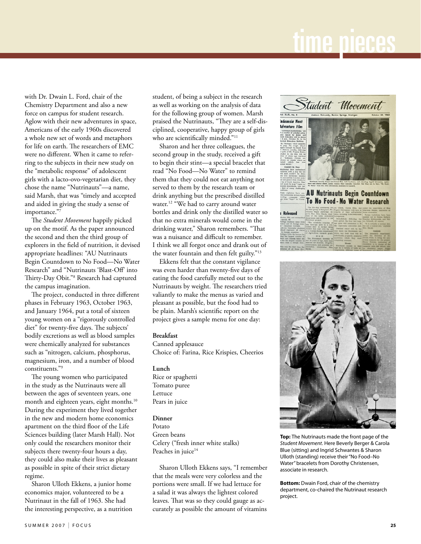# time pieces

with Dr. Dwain L. Ford, chair of the Chemistry Department and also a new force on campus for student research. Aglow with their new adventures in space, Americans of the early 1960s discovered a whole new set of words and metaphors for life on earth. The researchers of EMC were no different. When it came to referring to the subjects in their new study on the "metabolic response" of adolescent girls with a lacto-ovo-vegetarian diet, they chose the name "Nutrinauts"—a name, said Marsh, that was "timely and accepted and aided in giving the study a sense of importance."7

The *Student Movement* happily picked up on the motif. As the paper announced the second and then the third group of explorers in the field of nutrition, it devised appropriate headlines: "AU Nutrinauts Begin Countdown to No Food—No Water Research" and "Nutrinauts 'Blast-Off' into Thirty-Day Obit."8 Research had captured the campus imagination.

The project, conducted in three different phases in February 1963, October 1963, and January 1964, put a total of sixteen young women on a "rigorously controlled diet" for twenty-five days. The subjects' bodily excretions as well as blood samples were chemically analyzed for substances such as "nitrogen, calcium, phosphorus, magnesium, iron, and a number of blood constituents."9

The young women who participated in the study as the Nutrinauts were all between the ages of seventeen years, one month and eighteen years, eight months.<sup>10</sup> During the experiment they lived together in the new and modern home economics apartment on the third floor of the Life Sciences building (later Marsh Hall). Not only could the researchers monitor their subjects there twenty-four hours a day, they could also make their lives as pleasant as possible in spite of their strict dietary regime.

Sharon Ulloth Ekkens, a junior home economics major, volunteered to be a Nutrinaut in the fall of 1963. She had the interesting perspective, as a nutrition student, of being a subject in the research as well as working on the analysis of data for the following group of women. Marsh praised the Nutrinauts, "They are a self-disciplined, cooperative, happy group of girls who are scientifically minded."<sup>11</sup>

Sharon and her three colleagues, the second group in the study, received a gift to begin their stint—a special bracelet that read "No Food—No Water" to remind them that they could not eat anything not served to them by the research team or drink anything but the prescribed distilled water.<sup>12</sup> "We had to carry around water bottles and drink only the distilled water so that no extra minerals would come in the drinking water," Sharon remembers. "That was a nuisance and difficult to remember. I think we all forgot once and drank out of the water fountain and then felt guilty."13

Ekkens felt that the constant vigilance was even harder than twenty-five days of eating the food carefully meted out to the Nutrinauts by weight. The researchers tried valiantly to make the menus as varied and pleasant as possible, but the food had to be plain. Marsh's scientific report on the project gives a sample menu for one day:

#### **Breakfast**

Canned applesauce Choice of: Farina, Rice Krispies, Cheerios

#### **Lunch**

Rice or spaghetti Tomato puree Lettuce Pears in juice

**Dinner** Potato Green beans Celery ("fresh inner white stalks) Peaches in juice<sup>14</sup>

Sharon Ulloth Ekkens says, "I remember that the meals were very colorless and the portions were small. If we had lettuce for a salad it was always the lightest colored leaves. That was so they could gauge as accurately as possible the amount of vitamins





**Top:** The Nutrinauts made the front page of the *Student Movement*. Here Beverly Berger & Carola Blue (sitting) and Ingrid Schwantes & Sharon Ulloth (standing) receive their "No Food–No Water" bracelets from Dorothy Christensen, associate in research.

**Bottom:** Dwain Ford, chair of the chemistry department, co-chaired the Nutrinaut research project.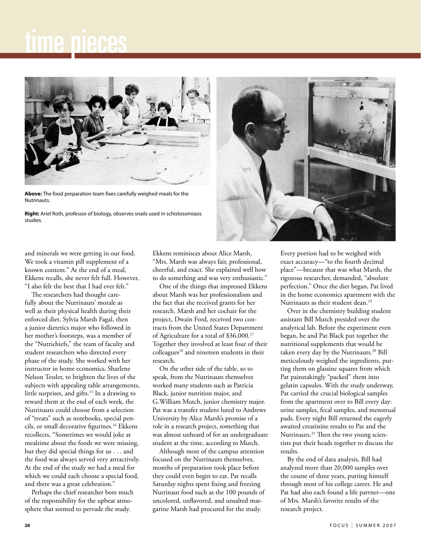# time pieces



**Above:** The food preparation team fixes carefully weighed meals for the Nutrinauts.

**Right:** Ariel Roth, professor of biology, observes snails used in schistosomiasis studies.



and minerals we were getting in our food. We took a vitamin pill supplement of a known content." At the end of a meal, Ekkens recalls, she never felt full. However, "I also felt the best that I had ever felt."

The researchers had thought carefully about the Nutrinauts' morale as well as their physical health during their enforced diet. Sylvia Marsh Fagal, then a junior dietetics major who followed in her mother's footsteps, was a member of the "Nutrichiefs," the team of faculty and student researchers who directed every phase of the study. She worked with her instructor in home economics, Sharlene Nelson Tessler, to brighten the lives of the subjects with appealing table arrangements, little surprises, and gifts.<sup>15</sup> In a drawing to reward them at the end of each week, the Nutrinauts could choose from a selection of "treats" such as notebooks, special pencils, or small decorative figurines.16 Ekkens recollects, "Sometimes we would joke at mealtime about the foods we were missing, but they did special things for us . . . and the food was always served very attractively. At the end of the study we had a meal for which we could each choose a special food, and there was a great celebration."

Perhaps the chief researcher bore much of the responsibility for the upbeat atmosphere that seemed to pervade the study.

Ekkens reminisces about Alice Marsh, "Mrs. Marsh was always fair, professional, cheerful, and exact. She explained well how to do something and was very enthusiastic."

One of the things that impressed Ekkens about Marsh was her professionalism and the fact that she received grants for her research. Marsh and her cochair for the project, Dwain Ford, received two contracts from the United States Department of Agriculture for a total of \$36,000.17 Together they involved at least four of their colleagues<sup>18</sup> and nineteen students in their research.

On the other side of the table, so to speak, from the Nutrinauts themselves worked many students such as Patricia Black, junior nutrition major, and G.William Mutch, junior chemistry major. Pat was a transfer student lured to Andrews University by Alice Marsh's promise of a role in a research project, something that was almost unheard of for an undergraduate student at the time, according to Mutch.

Although most of the campus attention focused on the Nutrinauts themselves, months of preparation took place before they could even begin to eat. Pat recalls Saturday nights spent fixing and freezing Nutrinaut food such as the 100 pounds of uncolored, unflavored, and unsalted margarine Marsh had procured for the study.

Every portion had to be weighed with exact accuracy—"to the fourth decimal place"—because that was what Marsh, the rigorous researcher, demanded, "absolute perfection." Once the diet began, Pat lived in the home economics apartment with the Nutrinauts as their student dean.<sup>19</sup>

Over in the chemistry building student assistant Bill Mutch presided over the analytical lab. Before the experiment even began, he and Pat Black put together the nutritional supplements that would be taken every day by the Nutrinauts.<sup>20</sup> Bill meticulously weighed the ingredients, putting them on glassine squares from which Pat painstakingly "packed" them into gelatin capsules. With the study underway, Pat carried the crucial biological samples from the apartment over to Bill every day: urine samples, fecal samples, and menstrual pads. Every night Bill returned the eagerly awaited creatinine results to Pat and the Nutrinauts.21 Then the two young scientists put their heads together to discuss the results.

By the end of data analysis, Bill had analyzed more than 20,000 samples over the course of three years, putting himself through most of his college career. He and Pat had also each found a life partner—one of Mrs. Marsh's favorite results of the research project.